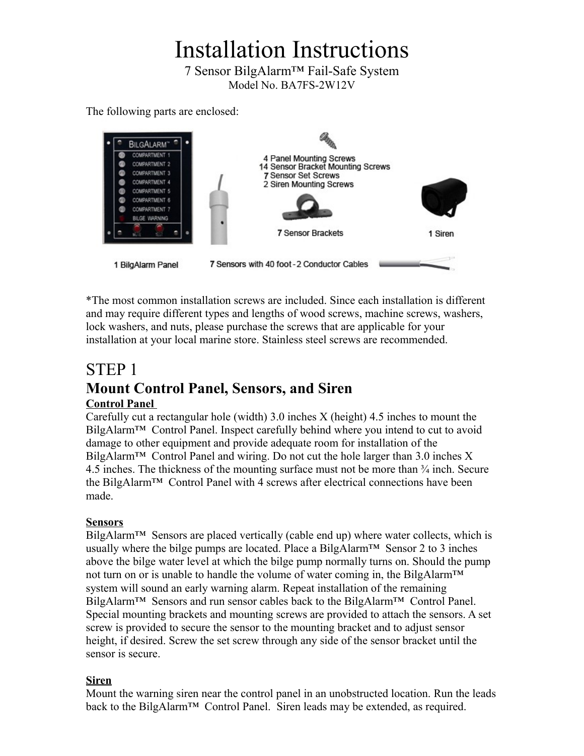# Installation Instructions

7 Sensor BilgAlarm™ Fail-Safe System Model No. BA7FS-2W12V

The following parts are enclosed:



\*The most common installation screws are included. Since each installation is different and may require different types and lengths of wood screws, machine screws, washers, lock washers, and nuts, please purchase the screws that are applicable for your installation at your local marine store. Stainless steel screws are recommended.

# STEP 1 **Mount Control Panel, Sensors, and Siren**

### **Control Panel**

Carefully cut a rectangular hole (width) 3.0 inches X (height) 4.5 inches to mount the BilgAlarm™ Control Panel. Inspect carefully behind where you intend to cut to avoid damage to other equipment and provide adequate room for installation of the BilgAlarm<sup>™</sup> Control Panel and wiring. Do not cut the hole larger than 3.0 inches X 4.5 inches. The thickness of the mounting surface must not be more than ¾ inch. Secure the BilgAlarm™ Control Panel with 4 screws after electrical connections have been made.

### **Sensors**

BilgAlarm<sup>™</sup> Sensors are placed vertically (cable end up) where water collects, which is usually where the bilge pumps are located. Place a BilgAlarm<sup>TM</sup> Sensor 2 to 3 inches above the bilge water level at which the bilge pump normally turns on. Should the pump not turn on or is unable to handle the volume of water coming in, the BilgAlarm<sup>™</sup> system will sound an early warning alarm. Repeat installation of the remaining BilgAlarm™ Sensors and run sensor cables back to the BilgAlarm™ Control Panel. Special mounting brackets and mounting screws are provided to attach the sensors. A set screw is provided to secure the sensor to the mounting bracket and to adjust sensor height, if desired. Screw the set screw through any side of the sensor bracket until the sensor is secure.

### **Siren**

Mount the warning siren near the control panel in an unobstructed location. Run the leads back to the BilgAlarm<sup>™</sup> Control Panel. Siren leads may be extended, as required.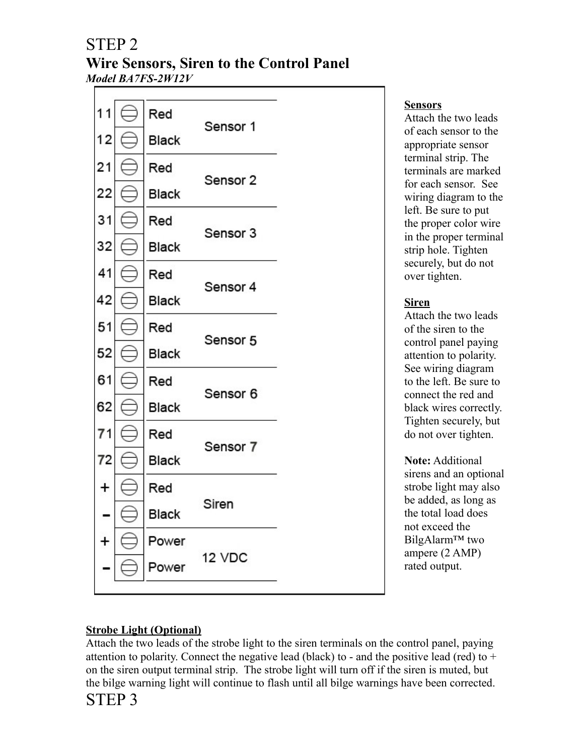# STEP 2

### **Wire Sensors, Siren to the Control Panel** *Model BA7FS-2W12V*



### **Sensors**

Attach the two leads of each sensor to the appropriate sensor terminal strip. The terminals are marked for each sensor. See wiring diagram to the left. Be sure to put the proper color wire in the proper terminal strip hole. Tighten securely, but do not over tighten.

### **Siren**

Attach the two leads of the siren to the control panel paying attention to polarity. See wiring diagram to the left. Be sure to connect the red and black wires correctly. Tighten securely, but do not over tighten.

**Note:** Additional sirens and an optional strobe light may also be added, as long as the total load does not exceed the BilgAlarm™ two ampere (2 AMP) rated output.

### **Strobe Light (Optional)**

Attach the two leads of the strobe light to the siren terminals on the control panel, paying attention to polarity. Connect the negative lead (black) to - and the positive lead (red) to  $+$ on the siren output terminal strip. The strobe light will turn off if the siren is muted, but the bilge warning light will continue to flash until all bilge warnings have been corrected. STEP 3